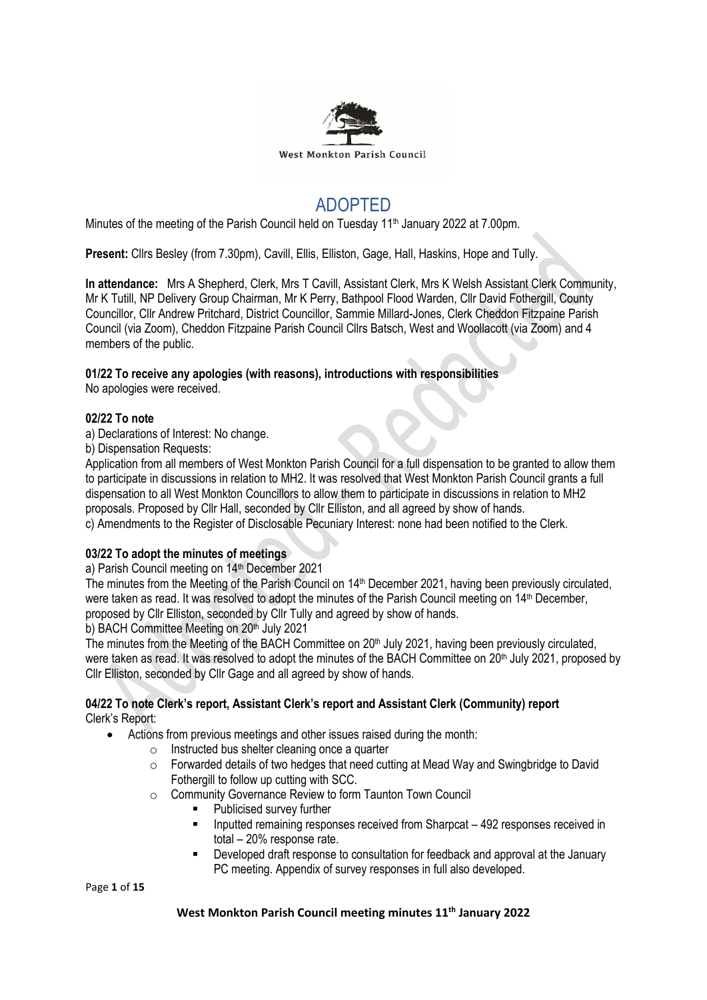

# ADOPTED

Minutes of the meeting of the Parish Council held on Tuesday 11<sup>th</sup> January 2022 at 7.00pm.

**Present:** Cllrs Besley (from 7.30pm), Cavill, Ellis, Elliston, Gage, Hall, Haskins, Hope and Tully.

**In attendance:** Mrs A Shepherd, Clerk, Mrs T Cavill, Assistant Clerk, Mrs K Welsh Assistant Clerk Community, Mr K Tutill, NP Delivery Group Chairman, Mr K Perry, Bathpool Flood Warden, Cllr David Fothergill, County Councillor, Cllr Andrew Pritchard, District Councillor, Sammie Millard-Jones, Clerk Cheddon Fitzpaine Parish Council (via Zoom), Cheddon Fitzpaine Parish Council Cllrs Batsch, West and Woollacott (via Zoom) and 4 members of the public.

## **01/22 To receive any apologies (with reasons), introductions with responsibilities**

No apologies were received.

## **02/22 To note**

a) Declarations of Interest: No change.

b) Dispensation Requests:

Application from all members of West Monkton Parish Council for a full dispensation to be granted to allow them to participate in discussions in relation to MH2. It was resolved that West Monkton Parish Council grants a full dispensation to all West Monkton Councillors to allow them to participate in discussions in relation to MH2 proposals. Proposed by Cllr Hall, seconded by Cllr Elliston, and all agreed by show of hands.

c) Amendments to the Register of Disclosable Pecuniary Interest: none had been notified to the Clerk.

## **03/22 To adopt the minutes of meetings**

a) Parish Council meeting on 14<sup>th</sup> December 2021

The minutes from the Meeting of the Parish Council on 14<sup>th</sup> December 2021, having been previously circulated, were taken as read. It was resolved to adopt the minutes of the Parish Council meeting on 14<sup>th</sup> December, proposed by Cllr Elliston, seconded by Cllr Tully and agreed by show of hands.

b) BACH Committee Meeting on 20<sup>th</sup> July 2021

The minutes from the Meeting of the BACH Committee on 20<sup>th</sup> July 2021, having been previously circulated, were taken as read. It was resolved to adopt the minutes of the BACH Committee on 20<sup>th</sup> July 2021, proposed by Cllr Elliston, seconded by Cllr Gage and all agreed by show of hands.

## **04/22 To note Clerk's report, Assistant Clerk's report and Assistant Clerk (Community) report** Clerk's Report:

- Actions from previous meetings and other issues raised during the month:
	- $\circ$  Instructed bus shelter cleaning once a quarter
	- $\circ$  Forwarded details of two hedges that need cutting at Mead Way and Swingbridge to David Fothergill to follow up cutting with SCC.
	- o Community Governance Review to form Taunton Town Council
		- Publicised survey further
		- **EXECT** Inputted remaining responses received from Sharpcat 492 responses received in total – 20% response rate.
		- Developed draft response to consultation for feedback and approval at the January PC meeting. Appendix of survey responses in full also developed.

Page **1** of **15**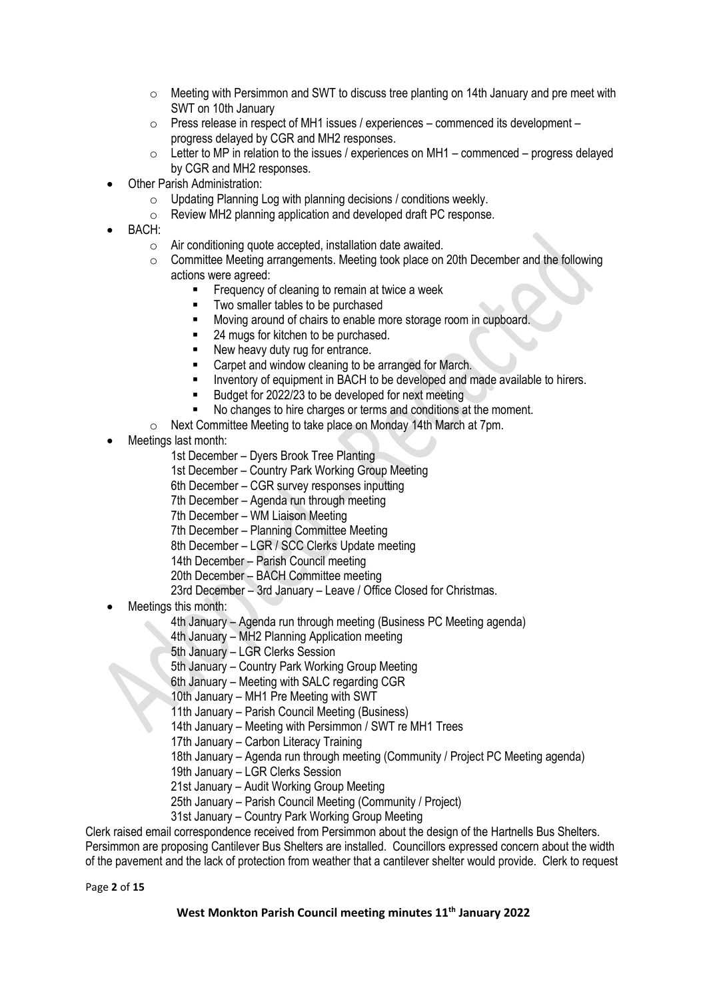- $\circ$  Meeting with Persimmon and SWT to discuss tree planting on 14th January and pre meet with SWT on 10th January
- $\circ$  Press release in respect of MH1 issues / experiences commenced its development progress delayed by CGR and MH2 responses.
- $\circ$  Letter to MP in relation to the issues / experiences on MH1 commenced progress delayed by CGR and MH2 responses.
- **Other Parish Administration:** 
	- o Updating Planning Log with planning decisions / conditions weekly.
	- o Review MH2 planning application and developed draft PC response.
- BACH:
	- o Air conditioning quote accepted, installation date awaited.
	- $\circ$  Committee Meeting arrangements. Meeting took place on 20th December and the following actions were agreed:
		- Frequency of cleaning to remain at twice a week
			- Two smaller tables to be purchased<br>■ Moving around of chairs to enable m
		- Moving around of chairs to enable more storage room in cupboard.
		- 24 mugs for kitchen to be purchased.
		- New heavy duty rug for entrance.
		- Carpet and window cleaning to be arranged for March.
		- Inventory of equipment in BACH to be developed and made available to hirers.
		- Budget for 2022/23 to be developed for next meeting
		- No changes to hire charges or terms and conditions at the moment.
	- o Next Committee Meeting to take place on Monday 14th March at 7pm.
- Meetings last month:
	- 1st December Dyers Brook Tree Planting
	- 1st December Country Park Working Group Meeting
	- 6th December CGR survey responses inputting
	- 7th December Agenda run through meeting
	- 7th December WM Liaison Meeting
	- 7th December Planning Committee Meeting
	- 8th December LGR / SCC Clerks Update meeting
	- 14th December Parish Council meeting
	- 20th December BACH Committee meeting
	- 23rd December 3rd January Leave / Office Closed for Christmas.
- Meetings this month:
	- 4th January Agenda run through meeting (Business PC Meeting agenda)
		- 4th January MH2 Planning Application meeting
		- 5th January LGR Clerks Session
		- 5th January Country Park Working Group Meeting
		- 6th January Meeting with SALC regarding CGR
		- 10th January MH1 Pre Meeting with SWT
		- 11th January Parish Council Meeting (Business)
		- 14th January Meeting with Persimmon / SWT re MH1 Trees
		- 17th January Carbon Literacy Training
		- 18th January Agenda run through meeting (Community / Project PC Meeting agenda)
		- 19th January LGR Clerks Session
		- 21st January Audit Working Group Meeting
		- 25th January Parish Council Meeting (Community / Project)
		- 31st January Country Park Working Group Meeting

Clerk raised email correspondence received from Persimmon about the design of the Hartnells Bus Shelters. Persimmon are proposing Cantilever Bus Shelters are installed. Councillors expressed concern about the width of the pavement and the lack of protection from weather that a cantilever shelter would provide. Clerk to request

Page **2** of **15**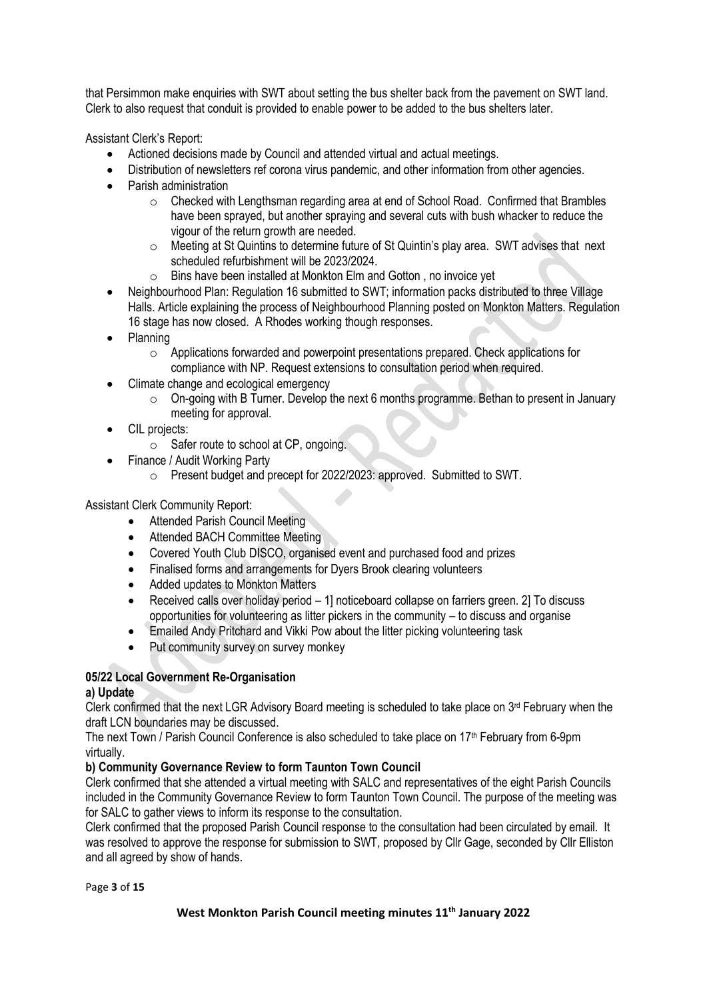that Persimmon make enquiries with SWT about setting the bus shelter back from the pavement on SWT land. Clerk to also request that conduit is provided to enable power to be added to the bus shelters later.

Assistant Clerk's Report:

- Actioned decisions made by Council and attended virtual and actual meetings.
- Distribution of newsletters ref corona virus pandemic, and other information from other agencies.
- Parish administration
	- o Checked with Lengthsman regarding area at end of School Road. Confirmed that Brambles have been sprayed, but another spraying and several cuts with bush whacker to reduce the vigour of the return growth are needed.
	- o Meeting at St Quintins to determine future of St Quintin's play area. SWT advises that next scheduled refurbishment will be 2023/2024.
	- o Bins have been installed at Monkton Elm and Gotton , no invoice yet
- Neighbourhood Plan: Regulation 16 submitted to SWT; information packs distributed to three Village Halls. Article explaining the process of Neighbourhood Planning posted on Monkton Matters. Regulation 16 stage has now closed. A Rhodes working though responses.
- Planning
	- o Applications forwarded and powerpoint presentations prepared. Check applications for compliance with NP. Request extensions to consultation period when required.
- Climate change and ecological emergency
	- o On-going with B Turner. Develop the next 6 months programme. Bethan to present in January meeting for approval.
- CIL projects:
	- o Safer route to school at CP, ongoing.
- Finance / Audit Working Party
	- o Present budget and precept for 2022/2023: approved. Submitted to SWT.

Assistant Clerk Community Report:

- Attended Parish Council Meeting
- Attended BACH Committee Meeting
- Covered Youth Club DISCO, organised event and purchased food and prizes
- Finalised forms and arrangements for Dyers Brook clearing volunteers
- Added updates to Monkton Matters
- Received calls over holiday period 1] noticeboard collapse on farriers green. 2] To discuss opportunities for volunteering as litter pickers in the community – to discuss and organise
- Emailed Andy Pritchard and Vikki Pow about the litter picking volunteering task
- Put community survey on survey monkey

# **05/22 Local Government Re-Organisation**

### **a) Update**

Clerk confirmed that the next LGR Advisory Board meeting is scheduled to take place on  $3<sup>rd</sup>$  February when the draft LCN boundaries may be discussed.

The next Town / Parish Council Conference is also scheduled to take place on  $17<sup>th</sup>$  February from 6-9pm virtually.

### **b) Community Governance Review to form Taunton Town Council**

Clerk confirmed that she attended a virtual meeting with SALC and representatives of the eight Parish Councils included in the Community Governance Review to form Taunton Town Council. The purpose of the meeting was for SALC to gather views to inform its response to the consultation.

Clerk confirmed that the proposed Parish Council response to the consultation had been circulated by email. It was resolved to approve the response for submission to SWT, proposed by Cllr Gage, seconded by Cllr Elliston and all agreed by show of hands.

Page **3** of **15**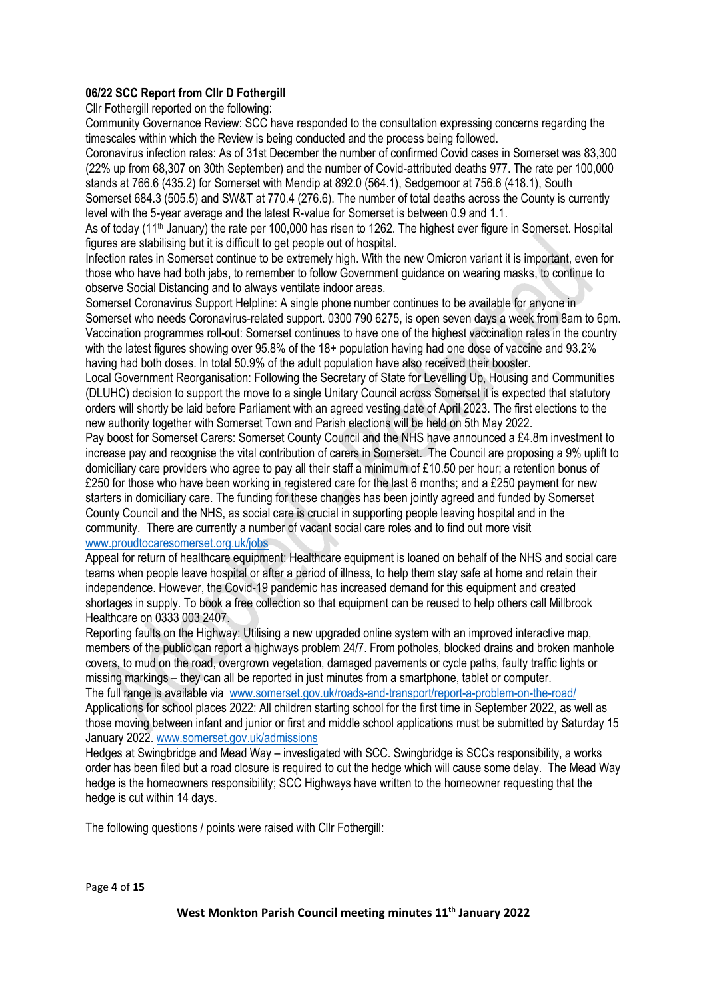## **06/22 SCC Report from Cllr D Fothergill**

Cllr Fothergill reported on the following:

Community Governance Review: SCC have responded to the consultation expressing concerns regarding the timescales within which the Review is being conducted and the process being followed.

Coronavirus infection rates: As of 31st December the number of confirmed Covid cases in Somerset was 83,300 (22% up from 68,307 on 30th September) and the number of Covid-attributed deaths 977. The rate per 100,000 stands at 766.6 (435.2) for Somerset with Mendip at 892.0 (564.1), Sedgemoor at 756.6 (418.1), South

Somerset 684.3 (505.5) and SW&T at 770.4 (276.6). The number of total deaths across the County is currently level with the 5-year average and the latest R-value for Somerset is between 0.9 and 1.1.

As of today (11<sup>th</sup> January) the rate per 100,000 has risen to 1262. The highest ever figure in Somerset. Hospital figures are stabilising but it is difficult to get people out of hospital.

Infection rates in Somerset continue to be extremely high. With the new Omicron variant it is important, even for those who have had both jabs, to remember to follow Government guidance on wearing masks, to continue to observe Social Distancing and to always ventilate indoor areas.

Somerset Coronavirus Support Helpline: A single phone number continues to be available for anyone in Somerset who needs Coronavirus-related support. 0300 790 6275, is open seven days a week from 8am to 6pm. Vaccination programmes roll-out: Somerset continues to have one of the highest vaccination rates in the country with the latest figures showing over 95.8% of the 18+ population having had one dose of vaccine and 93.2% having had both doses. In total 50.9% of the adult population have also received their booster.

Local Government Reorganisation: Following the Secretary of State for Levelling Up, Housing and Communities (DLUHC) decision to support the move to a single Unitary Council across Somerset it is expected that statutory orders will shortly be laid before Parliament with an agreed vesting date of April 2023. The first elections to the new authority together with Somerset Town and Parish elections will be held on 5th May 2022.

Pay boost for Somerset Carers: Somerset County Council and the NHS have announced a £4.8m investment to increase pay and recognise the vital contribution of carers in Somerset. The Council are proposing a 9% uplift to domiciliary care providers who agree to pay all their staff a minimum of £10.50 per hour; a retention bonus of £250 for those who have been working in registered care for the last 6 months; and a £250 payment for new starters in domiciliary care. The funding for these changes has been jointly agreed and funded by Somerset County Council and the NHS, as social care is crucial in supporting people leaving hospital and in the community. There are currently a number of vacant social care roles and to find out more visit [www.proudtocaresomerset.org.uk/jobs](http://www.proudtocaresomerset.org.uk/jobs)

Appeal for return of healthcare equipment: Healthcare equipment is loaned on behalf of the NHS and social care teams when people leave hospital or after a period of illness, to help them stay safe at home and retain their independence. However, the Covid-19 pandemic has increased demand for this equipment and created shortages in supply. To book a free collection so that equipment can be reused to help others call Millbrook Healthcare on 0333 003 2407.

Reporting faults on the Highway: Utilising a new upgraded online system with an improved interactive map, members of the public can report a highways problem 24/7. From potholes, blocked drains and broken manhole covers, to mud on the road, overgrown vegetation, damaged pavements or cycle paths, faulty traffic lights or missing markings – they can all be reported in just minutes from a smartphone, tablet or computer. The full range is available via [www.somerset.gov.uk/roads-and-transport/report-a-problem-on-the-road/](http://www.somerset.gov.uk/roads-and-transport/report-a-problem-on-the-road/)

Applications for school places 2022: All children starting school for the first time in September 2022, as well as those moving between infant and junior or first and middle school applications must be submitted by Saturday 15 January 2022[. www.somerset.gov.uk/admissions](http://www.somerset.gov.uk/admissions)

Hedges at Swingbridge and Mead Way – investigated with SCC. Swingbridge is SCCs responsibility, a works order has been filed but a road closure is required to cut the hedge which will cause some delay. The Mead Way hedge is the homeowners responsibility; SCC Highways have written to the homeowner requesting that the hedge is cut within 14 days.

The following questions / points were raised with Cllr Fothergill:

Page **4** of **15**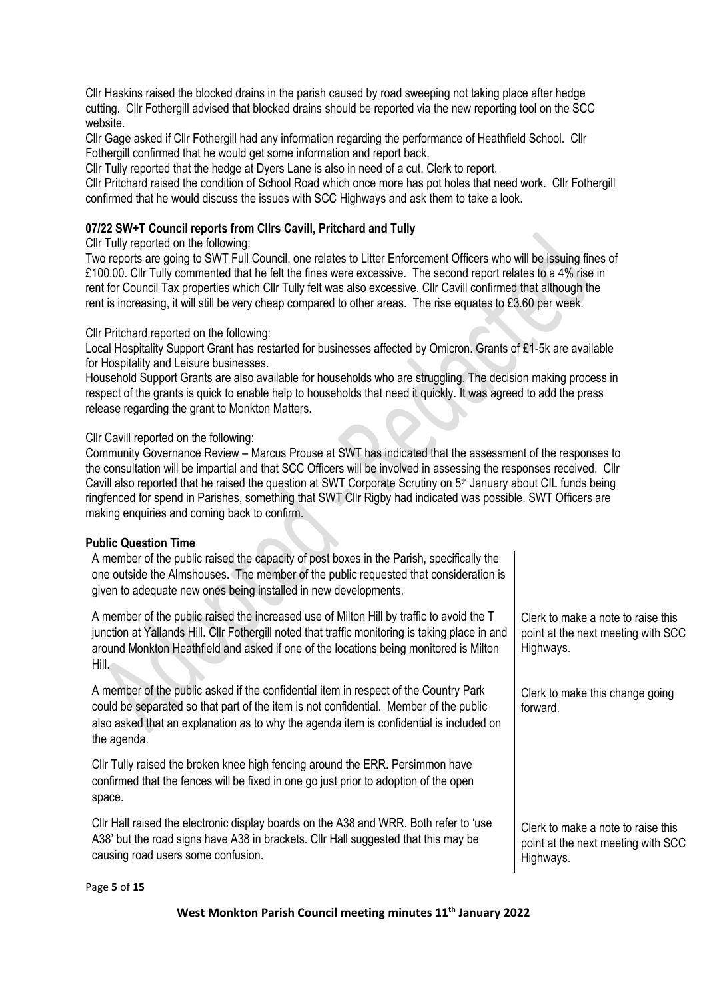Cllr Haskins raised the blocked drains in the parish caused by road sweeping not taking place after hedge cutting. Cllr Fothergill advised that blocked drains should be reported via the new reporting tool on the SCC website.

Cllr Gage asked if Cllr Fothergill had any information regarding the performance of Heathfield School. Cllr Fothergill confirmed that he would get some information and report back.

Cllr Tully reported that the hedge at Dyers Lane is also in need of a cut. Clerk to report.

Cllr Pritchard raised the condition of School Road which once more has pot holes that need work. Cllr Fothergill confirmed that he would discuss the issues with SCC Highways and ask them to take a look.

## **07/22 SW+T Council reports from Cllrs Cavill, Pritchard and Tully**

#### Cllr Tully reported on the following:

Two reports are going to SWT Full Council, one relates to Litter Enforcement Officers who will be issuing fines of £100.00. Cllr Tully commented that he felt the fines were excessive. The second report relates to a 4% rise in rent for Council Tax properties which Cllr Tully felt was also excessive. Cllr Cavill confirmed that although the rent is increasing, it will still be very cheap compared to other areas. The rise equates to £3.60 per week.

#### Cllr Pritchard reported on the following:

Local Hospitality Support Grant has restarted for businesses affected by Omicron. Grants of £1-5k are available for Hospitality and Leisure businesses.

Household Support Grants are also available for households who are struggling. The decision making process in respect of the grants is quick to enable help to households that need it quickly. It was agreed to add the press release regarding the grant to Monkton Matters.

#### Cllr Cavill reported on the following:

Community Governance Review – Marcus Prouse at SWT has indicated that the assessment of the responses to the consultation will be impartial and that SCC Officers will be involved in assessing the responses received. Cllr Cavill also reported that he raised the question at SWT Corporate Scrutiny on 5<sup>th</sup> January about CIL funds being ringfenced for spend in Parishes, something that SWT Cllr Rigby had indicated was possible. SWT Officers are making enquiries and coming back to confirm.

> Clerk to make a note to raise this point at the next meeting with SCC

Clerk to make this change going

Clerk to make a note to raise this point at the next meeting with SCC

Highways.

forward.

Highways.

#### **Public Question Time**

A member of the public raised the capacity of post boxes in the Parish, specifically the one outside the Almshouses. The member of the public requested that consideration is given to adequate new ones being installed in new developments.

A member of the public raised the increased use of Milton Hill by traffic to avoid the T junction at Yallands Hill. Cllr Fothergill noted that traffic monitoring is taking place in and around Monkton Heathfield and asked if one of the locations being monitored is Milton Hill.

A member of the public asked if the confidential item in respect of the Country Park could be separated so that part of the item is not confidential. Member of the public also asked that an explanation as to why the agenda item is confidential is included on the agenda.

Cllr Tully raised the broken knee high fencing around the ERR. Persimmon have confirmed that the fences will be fixed in one go just prior to adoption of the open space.

Cllr Hall raised the electronic display boards on the A38 and WRR. Both refer to 'use A38' but the road signs have A38 in brackets. Cllr Hall suggested that this may be causing road users some confusion.

#### Page **5** of **15**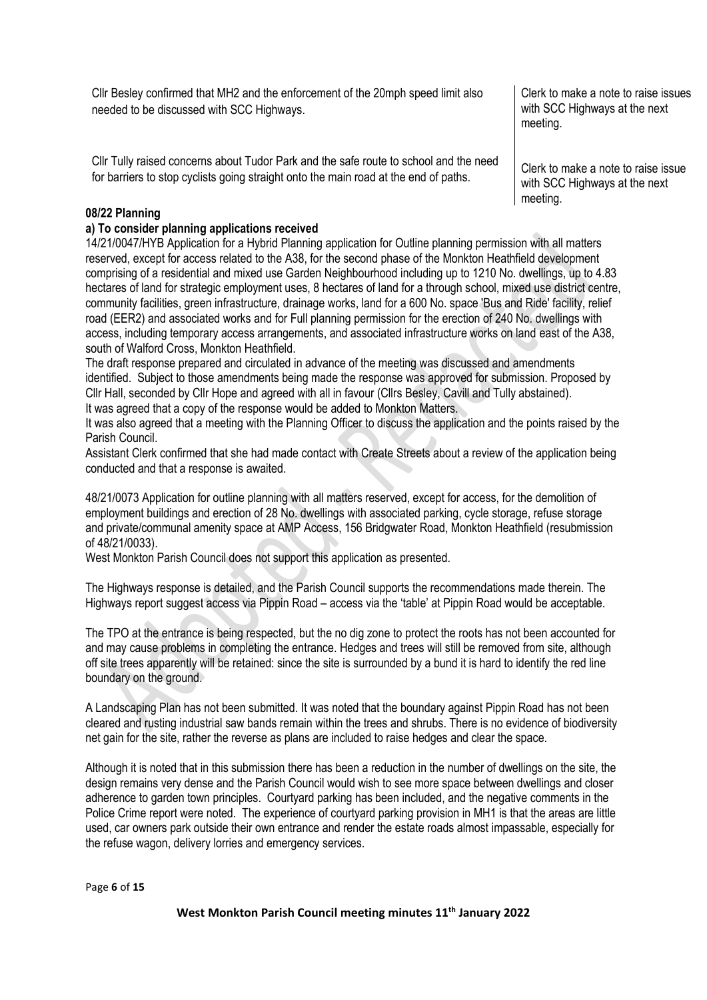Cllr Besley confirmed that MH2 and the enforcement of the 20mph speed limit also needed to be discussed with SCC Highways.

Cllr Tully raised concerns about Tudor Park and the safe route to school and the need for barriers to stop cyclists going straight onto the main road at the end of paths.

Clerk to make a note to raise issues with SCC Highways at the next meeting.

Clerk to make a note to raise issue with SCC Highways at the next meeting.

## **08/22 Planning**

### **a) To consider planning applications received**

14/21/0047/HYB Application for a Hybrid Planning application for Outline planning permission with all matters reserved, except for access related to the A38, for the second phase of the Monkton Heathfield development comprising of a residential and mixed use Garden Neighbourhood including up to 1210 No. dwellings, up to 4.83 hectares of land for strategic employment uses, 8 hectares of land for a through school, mixed use district centre, community facilities, green infrastructure, drainage works, land for a 600 No. space 'Bus and Ride' facility, relief road (EER2) and associated works and for Full planning permission for the erection of 240 No. dwellings with access, including temporary access arrangements, and associated infrastructure works on land east of the A38, south of Walford Cross, Monkton Heathfield.

The draft response prepared and circulated in advance of the meeting was discussed and amendments identified. Subject to those amendments being made the response was approved for submission. Proposed by Cllr Hall, seconded by Cllr Hope and agreed with all in favour (Cllrs Besley, Cavill and Tully abstained). It was agreed that a copy of the response would be added to Monkton Matters.

It was also agreed that a meeting with the Planning Officer to discuss the application and the points raised by the Parish Council.

Assistant Clerk confirmed that she had made contact with Create Streets about a review of the application being conducted and that a response is awaited.

48/21/0073 Application for outline planning with all matters reserved, except for access, for the demolition of employment buildings and erection of 28 No. dwellings with associated parking, cycle storage, refuse storage and private/communal amenity space at AMP Access, 156 Bridgwater Road, Monkton Heathfield (resubmission of 48/21/0033).

West Monkton Parish Council does not support this application as presented.

The Highways response is detailed, and the Parish Council supports the recommendations made therein. The Highways report suggest access via Pippin Road – access via the 'table' at Pippin Road would be acceptable.

The TPO at the entrance is being respected, but the no dig zone to protect the roots has not been accounted for and may cause problems in completing the entrance. Hedges and trees will still be removed from site, although off site trees apparently will be retained: since the site is surrounded by a bund it is hard to identify the red line boundary on the ground.

A Landscaping Plan has not been submitted. It was noted that the boundary against Pippin Road has not been cleared and rusting industrial saw bands remain within the trees and shrubs. There is no evidence of biodiversity net gain for the site, rather the reverse as plans are included to raise hedges and clear the space.

Although it is noted that in this submission there has been a reduction in the number of dwellings on the site, the design remains very dense and the Parish Council would wish to see more space between dwellings and closer adherence to garden town principles. Courtyard parking has been included, and the negative comments in the Police Crime report were noted. The experience of courtyard parking provision in MH1 is that the areas are little used, car owners park outside their own entrance and render the estate roads almost impassable, especially for the refuse wagon, delivery lorries and emergency services.

Page **6** of **15**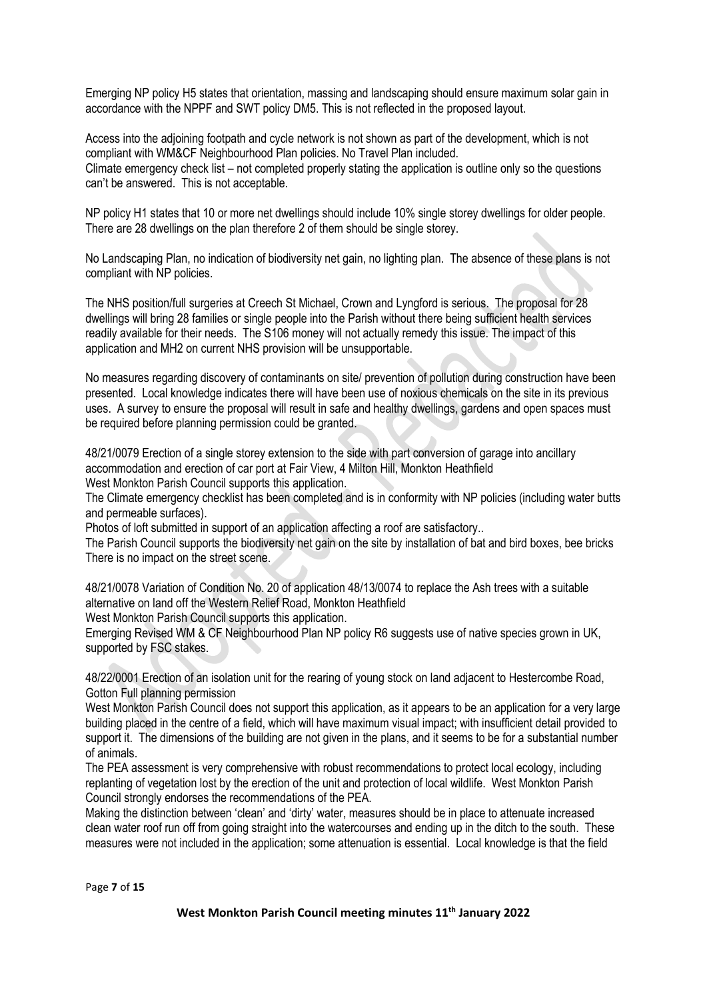Emerging NP policy H5 states that orientation, massing and landscaping should ensure maximum solar gain in accordance with the NPPF and SWT policy DM5. This is not reflected in the proposed layout.

Access into the adjoining footpath and cycle network is not shown as part of the development, which is not compliant with WM&CF Neighbourhood Plan policies. No Travel Plan included. Climate emergency check list – not completed properly stating the application is outline only so the questions can't be answered. This is not acceptable.

NP policy H1 states that 10 or more net dwellings should include 10% single storey dwellings for older people. There are 28 dwellings on the plan therefore 2 of them should be single storey.

No Landscaping Plan, no indication of biodiversity net gain, no lighting plan. The absence of these plans is not compliant with NP policies.

The NHS position/full surgeries at Creech St Michael, Crown and Lyngford is serious. The proposal for 28 dwellings will bring 28 families or single people into the Parish without there being sufficient health services readily available for their needs. The S106 money will not actually remedy this issue. The impact of this application and MH2 on current NHS provision will be unsupportable.

No measures regarding discovery of contaminants on site/ prevention of pollution during construction have been presented. Local knowledge indicates there will have been use of noxious chemicals on the site in its previous uses. A survey to ensure the proposal will result in safe and healthy dwellings, gardens and open spaces must be required before planning permission could be granted.

48/21/0079 Erection of a single storey extension to the side with part conversion of garage into ancillary accommodation and erection of car port at Fair View, 4 Milton Hill, Monkton Heathfield

West Monkton Parish Council supports this application.

The Climate emergency checklist has been completed and is in conformity with NP policies (including water butts and permeable surfaces).

Photos of loft submitted in support of an application affecting a roof are satisfactory..

The Parish Council supports the biodiversity net gain on the site by installation of bat and bird boxes, bee bricks There is no impact on the street scene.

48/21/0078 Variation of Condition No. 20 of application 48/13/0074 to replace the Ash trees with a suitable alternative on land off the Western Relief Road, Monkton Heathfield

West Monkton Parish Council supports this application.

Emerging Revised WM & CF Neighbourhood Plan NP policy R6 suggests use of native species grown in UK, supported by FSC stakes.

48/22/0001 Erection of an isolation unit for the rearing of young stock on land adjacent to Hestercombe Road, Gotton Full planning permission

West Monkton Parish Council does not support this application, as it appears to be an application for a very large building placed in the centre of a field, which will have maximum visual impact; with insufficient detail provided to support it. The dimensions of the building are not given in the plans, and it seems to be for a substantial number of animals.

The PEA assessment is very comprehensive with robust recommendations to protect local ecology, including replanting of vegetation lost by the erection of the unit and protection of local wildlife. West Monkton Parish Council strongly endorses the recommendations of the PEA.

Making the distinction between 'clean' and 'dirty' water, measures should be in place to attenuate increased clean water roof run off from going straight into the watercourses and ending up in the ditch to the south. These measures were not included in the application; some attenuation is essential. Local knowledge is that the field

Page **7** of **15**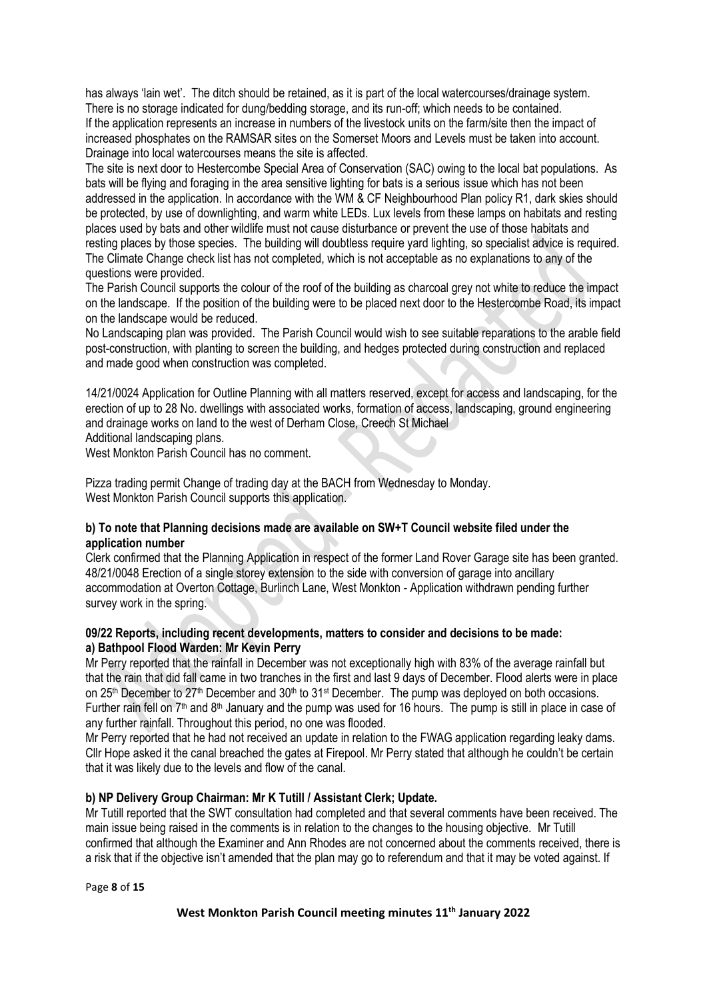has always 'lain wet'. The ditch should be retained, as it is part of the local watercourses/drainage system. There is no storage indicated for dung/bedding storage, and its run-off; which needs to be contained. If the application represents an increase in numbers of the livestock units on the farm/site then the impact of increased phosphates on the RAMSAR sites on the Somerset Moors and Levels must be taken into account. Drainage into local watercourses means the site is affected.

The site is next door to Hestercombe Special Area of Conservation (SAC) owing to the local bat populations. As bats will be flying and foraging in the area sensitive lighting for bats is a serious issue which has not been addressed in the application. In accordance with the WM & CF Neighbourhood Plan policy R1, dark skies should be protected, by use of downlighting, and warm white LEDs. Lux levels from these lamps on habitats and resting places used by bats and other wildlife must not cause disturbance or prevent the use of those habitats and resting places by those species. The building will doubtless require yard lighting, so specialist advice is required. The Climate Change check list has not completed, which is not acceptable as no explanations to any of the questions were provided.

The Parish Council supports the colour of the roof of the building as charcoal grey not white to reduce the impact on the landscape. If the position of the building were to be placed next door to the Hestercombe Road, its impact on the landscape would be reduced.

No Landscaping plan was provided. The Parish Council would wish to see suitable reparations to the arable field post-construction, with planting to screen the building, and hedges protected during construction and replaced and made good when construction was completed.

14/21/0024 Application for Outline Planning with all matters reserved, except for access and landscaping, for the erection of up to 28 No. dwellings with associated works, formation of access, landscaping, ground engineering and drainage works on land to the west of Derham Close, Creech St Michael Additional landscaping plans.

West Monkton Parish Council has no comment.

Pizza trading permit Change of trading day at the BACH from Wednesday to Monday. West Monkton Parish Council supports this application.

## **b) To note that Planning decisions made are available on SW+T Council website filed under the application number**

Clerk confirmed that the Planning Application in respect of the former Land Rover Garage site has been granted. 48/21/0048 Erection of a single storey extension to the side with conversion of garage into ancillary accommodation at Overton Cottage, Burlinch Lane, West Monkton - Application withdrawn pending further survey work in the spring.

### **09/22 Reports, including recent developments, matters to consider and decisions to be made: a) Bathpool Flood Warden: Mr Kevin Perry**

Mr Perry reported that the rainfall in December was not exceptionally high with 83% of the average rainfall but that the rain that did fall came in two tranches in the first and last 9 days of December. Flood alerts were in place on 25<sup>th</sup> December to 27<sup>th</sup> December and 30<sup>th</sup> to 31<sup>st</sup> December. The pump was deployed on both occasions. Further rain fell on 7<sup>th</sup> and 8<sup>th</sup> January and the pump was used for 16 hours. The pump is still in place in case of any further rainfall. Throughout this period, no one was flooded.

Mr Perry reported that he had not received an update in relation to the FWAG application regarding leaky dams. Cllr Hope asked it the canal breached the gates at Firepool. Mr Perry stated that although he couldn't be certain that it was likely due to the levels and flow of the canal.

## **b) NP Delivery Group Chairman: Mr K Tutill / Assistant Clerk; Update.**

Mr Tutill reported that the SWT consultation had completed and that several comments have been received. The main issue being raised in the comments is in relation to the changes to the housing objective. Mr Tutill confirmed that although the Examiner and Ann Rhodes are not concerned about the comments received, there is a risk that if the objective isn't amended that the plan may go to referendum and that it may be voted against. If

Page **8** of **15**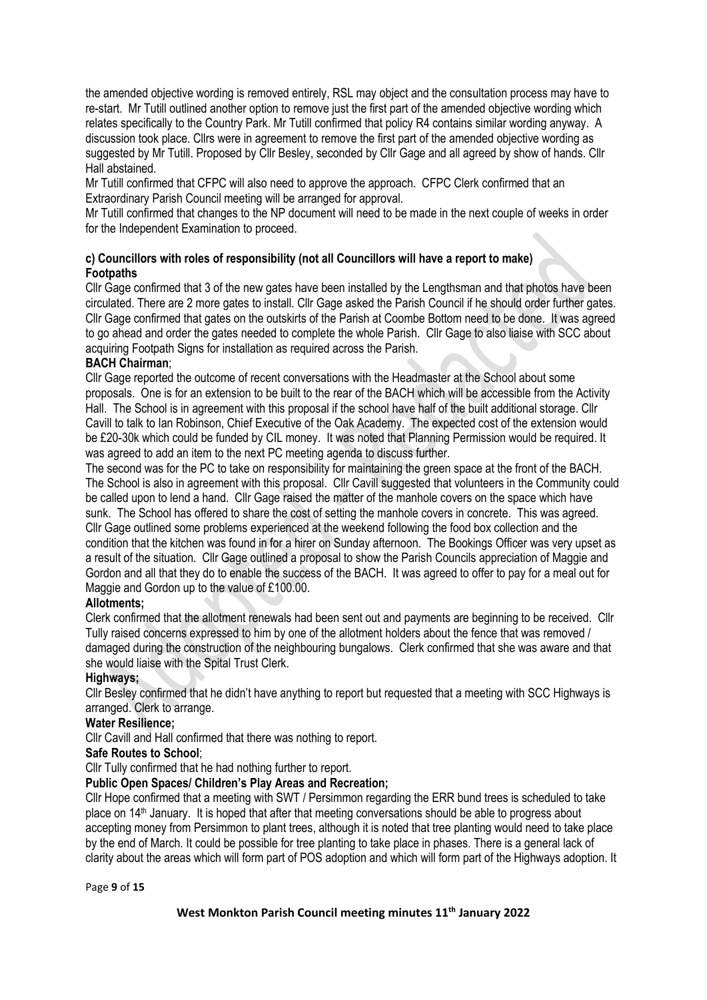the amended objective wording is removed entirely, RSL may object and the consultation process may have to re-start. Mr Tutill outlined another option to remove just the first part of the amended objective wording which relates specifically to the Country Park. Mr Tutill confirmed that policy R4 contains similar wording anyway. A discussion took place. Cllrs were in agreement to remove the first part of the amended objective wording as suggested by Mr Tutill. Proposed by Cllr Besley, seconded by Cllr Gage and all agreed by show of hands. Cllr Hall abstained.

Mr Tutill confirmed that CFPC will also need to approve the approach. CFPC Clerk confirmed that an Extraordinary Parish Council meeting will be arranged for approval.

Mr Tutill confirmed that changes to the NP document will need to be made in the next couple of weeks in order for the Independent Examination to proceed.

## **c) Councillors with roles of responsibility (not all Councillors will have a report to make) Footpaths**

Cllr Gage confirmed that 3 of the new gates have been installed by the Lengthsman and that photos have been circulated. There are 2 more gates to install. Cllr Gage asked the Parish Council if he should order further gates. Cllr Gage confirmed that gates on the outskirts of the Parish at Coombe Bottom need to be done. It was agreed to go ahead and order the gates needed to complete the whole Parish. Cllr Gage to also liaise with SCC about acquiring Footpath Signs for installation as required across the Parish.

## **BACH Chairman**;

Cllr Gage reported the outcome of recent conversations with the Headmaster at the School about some proposals. One is for an extension to be built to the rear of the BACH which will be accessible from the Activity Hall. The School is in agreement with this proposal if the school have half of the built additional storage. Cllr Cavill to talk to Ian Robinson, Chief Executive of the Oak Academy. The expected cost of the extension would be £20-30k which could be funded by CIL money. It was noted that Planning Permission would be required. It was agreed to add an item to the next PC meeting agenda to discuss further.

The second was for the PC to take on responsibility for maintaining the green space at the front of the BACH. The School is also in agreement with this proposal. Cllr Cavill suggested that volunteers in the Community could be called upon to lend a hand. Cllr Gage raised the matter of the manhole covers on the space which have sunk. The School has offered to share the cost of setting the manhole covers in concrete. This was agreed. Cllr Gage outlined some problems experienced at the weekend following the food box collection and the condition that the kitchen was found in for a hirer on Sunday afternoon. The Bookings Officer was very upset as a result of the situation. Cllr Gage outlined a proposal to show the Parish Councils appreciation of Maggie and Gordon and all that they do to enable the success of the BACH. It was agreed to offer to pay for a meal out for Maggie and Gordon up to the value of £100.00.

## **Allotments;**

Clerk confirmed that the allotment renewals had been sent out and payments are beginning to be received. Cllr Tully raised concerns expressed to him by one of the allotment holders about the fence that was removed / damaged during the construction of the neighbouring bungalows. Clerk confirmed that she was aware and that she would liaise with the Spital Trust Clerk.

### **Highways;**

Cllr Besley confirmed that he didn't have anything to report but requested that a meeting with SCC Highways is arranged. Clerk to arrange.

### **Water Resilience;**

Cllr Cavill and Hall confirmed that there was nothing to report.

### **Safe Routes to School**;

Cllr Tully confirmed that he had nothing further to report.

## **Public Open Spaces/ Children's Play Areas and Recreation;**

Cllr Hope confirmed that a meeting with SWT / Persimmon regarding the ERR bund trees is scheduled to take place on 14th January. It is hoped that after that meeting conversations should be able to progress about accepting money from Persimmon to plant trees, although it is noted that tree planting would need to take place by the end of March. It could be possible for tree planting to take place in phases. There is a general lack of clarity about the areas which will form part of POS adoption and which will form part of the Highways adoption. It

Page **9** of **15**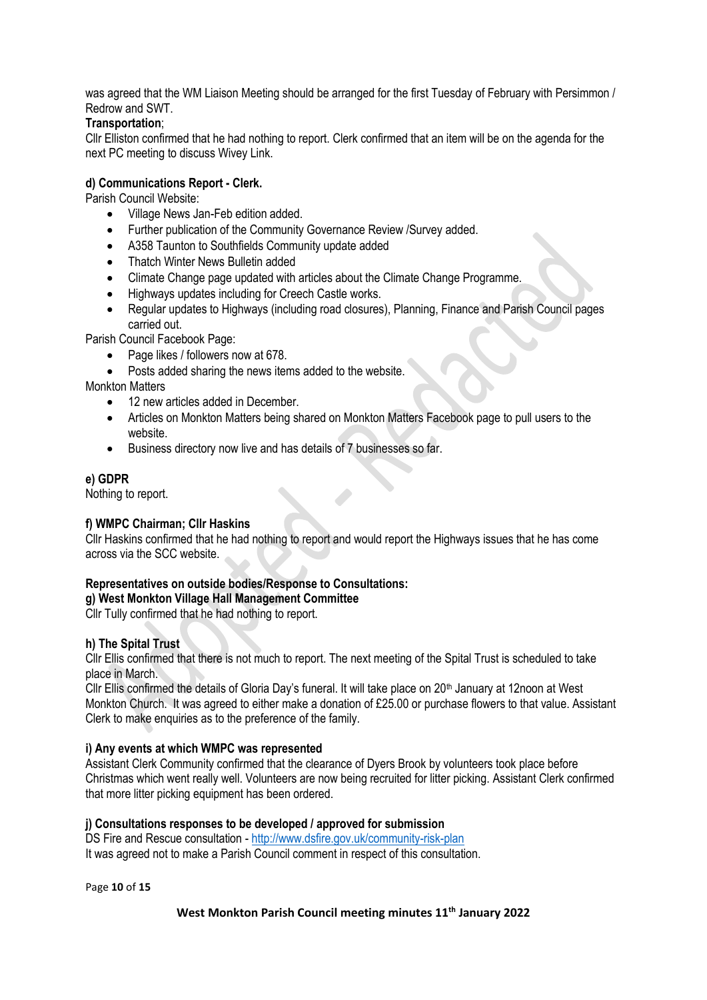was agreed that the WM Liaison Meeting should be arranged for the first Tuesday of February with Persimmon / Redrow and SWT.

## **Transportation**;

Cllr Elliston confirmed that he had nothing to report. Clerk confirmed that an item will be on the agenda for the next PC meeting to discuss Wivey Link.

## **d) Communications Report - Clerk.**

Parish Council Website:

- Village News Jan-Feb edition added.
- Further publication of the Community Governance Review /Survey added.
- A358 Taunton to Southfields Community update added
- Thatch Winter News Bulletin added
- Climate Change page updated with articles about the Climate Change Programme.
- Highways updates including for Creech Castle works.
- Regular updates to Highways (including road closures), Planning, Finance and Parish Council pages carried out.

Parish Council Facebook Page:

- Page likes / followers now at 678.
- Posts added sharing the news items added to the website.

Monkton Matters

- 12 new articles added in December.
- Articles on Monkton Matters being shared on Monkton Matters Facebook page to pull users to the website.
- Business directory now live and has details of 7 businesses so far.

## **e) GDPR**

Nothing to report.

## **f) WMPC Chairman; Cllr Haskins**

Cllr Haskins confirmed that he had nothing to report and would report the Highways issues that he has come across via the SCC website.

# **Representatives on outside bodies/Response to Consultations:**

**g) West Monkton Village Hall Management Committee**

Cllr Tully confirmed that he had nothing to report.

## **h) The Spital Trust**

Cllr Ellis confirmed that there is not much to report. The next meeting of the Spital Trust is scheduled to take place in March.

Cllr Ellis confirmed the details of Gloria Day's funeral. It will take place on 20<sup>th</sup> January at 12noon at West Monkton Church. It was agreed to either make a donation of £25.00 or purchase flowers to that value. Assistant Clerk to make enquiries as to the preference of the family.

### **i) Any events at which WMPC was represented**

Assistant Clerk Community confirmed that the clearance of Dyers Brook by volunteers took place before Christmas which went really well. Volunteers are now being recruited for litter picking. Assistant Clerk confirmed that more litter picking equipment has been ordered.

## **j) Consultations responses to be developed / approved for submission**

DS Fire and Rescue consultation - <http://www.dsfire.gov.uk/community-risk-plan> It was agreed not to make a Parish Council comment in respect of this consultation.

Page **10** of **15**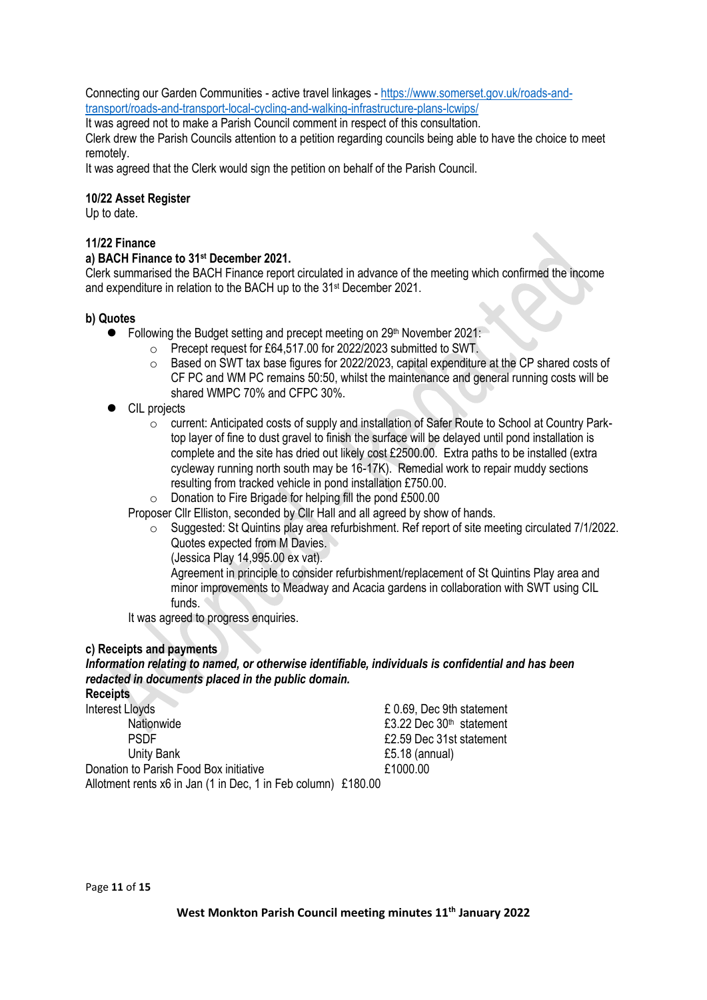Connecting our Garden Communities - active travel linkages - [https://www.somerset.gov.uk/roads-and](https://www.somerset.gov.uk/roads-and-transport/roads-and-transport-local-cycling-and-walking-infrastructure-plans-lcwips/)[transport/roads-and-transport-local-cycling-and-walking-infrastructure-plans-lcwips/](https://www.somerset.gov.uk/roads-and-transport/roads-and-transport-local-cycling-and-walking-infrastructure-plans-lcwips/)

It was agreed not to make a Parish Council comment in respect of this consultation.

Clerk drew the Parish Councils attention to a petition regarding councils being able to have the choice to meet remotely.

It was agreed that the Clerk would sign the petition on behalf of the Parish Council.

## **10/22 Asset Register**

Up to date.

## **11/22 Finance**

### **a) BACH Finance to 31 st December 2021.**

Clerk summarised the BACH Finance report circulated in advance of the meeting which confirmed the income and expenditure in relation to the BACH up to the 31st December 2021.

## **b) Quotes**

- Following the Budget setting and precept meeting on 29<sup>th</sup> November 2021:
	- o Precept request for £64,517.00 for 2022/2023 submitted to SWT.
		- $\circ$  Based on SWT tax base figures for 2022/2023, capital expenditure at the CP shared costs of CF PC and WM PC remains 50:50, whilst the maintenance and general running costs will be shared WMPC 70% and CFPC 30%.
- ⚫ CIL projects
	- o current: Anticipated costs of supply and installation of Safer Route to School at Country Parktop layer of fine to dust gravel to finish the surface will be delayed until pond installation is complete and the site has dried out likely cost £2500.00. Extra paths to be installed (extra cycleway running north south may be 16-17K). Remedial work to repair muddy sections resulting from tracked vehicle in pond installation £750.00.

o Donation to Fire Brigade for helping fill the pond £500.00

Proposer Cllr Elliston, seconded by Cllr Hall and all agreed by show of hands.

- o Suggested: St Quintins play area refurbishment. Ref report of site meeting circulated 7/1/2022. Quotes expected from M Davies.
	- (Jessica Play 14,995.00 ex vat).

Agreement in principle to consider refurbishment/replacement of St Quintins Play area and minor improvements to Meadway and Acacia gardens in collaboration with SWT using CIL funds.

It was agreed to progress enquiries.

### **c) Receipts and payments**

*Information relating to named, or otherwise identifiable, individuals is confidential and has been redacted in documents placed in the public domain.* **Receipts** 

| neceipla                                                      |                                      |
|---------------------------------------------------------------|--------------------------------------|
| <b>Interest Lloyds</b>                                        | £ 0.69, Dec 9th statement            |
| Nationwide                                                    | £3.22 Dec 30 <sup>th</sup> statement |
| <b>PSDF</b>                                                   | £2.59 Dec 31st statement             |
| Unity Bank                                                    | $£5.18$ (annual)                     |
| Donation to Parish Food Box initiative                        | £1000.00                             |
| Allotment rents x6 in Jan (1 in Dec, 1 in Feb column) £180.00 |                                      |
|                                                               |                                      |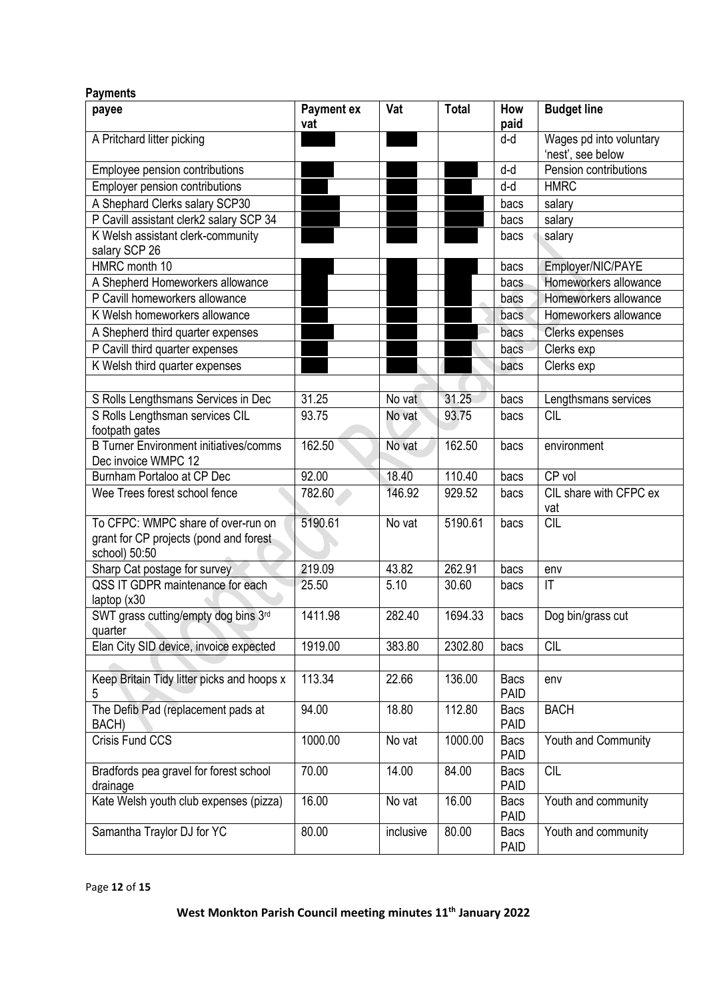| <b>Payments</b>                                                                               |                          |           |              |                            |                                              |
|-----------------------------------------------------------------------------------------------|--------------------------|-----------|--------------|----------------------------|----------------------------------------------|
| payee                                                                                         | <b>Payment ex</b><br>vat | Vat       | <b>Total</b> | How<br>paid                | <b>Budget line</b>                           |
| A Pritchard litter picking                                                                    |                          |           |              | d-d                        | Wages pd into voluntary<br>'nest', see below |
| Employee pension contributions                                                                |                          |           |              | d-d                        | Pension contributions                        |
| <b>Employer pension contributions</b>                                                         |                          |           |              | d-d                        | <b>HMRC</b>                                  |
| A Shephard Clerks salary SCP30                                                                |                          |           |              | bacs                       | salary                                       |
| P Cavill assistant clerk2 salary SCP 34                                                       |                          |           |              | bacs                       | salary                                       |
| K Welsh assistant clerk-community                                                             |                          |           |              | bacs                       | salary                                       |
| salary SCP 26                                                                                 |                          |           |              |                            |                                              |
| HMRC month 10                                                                                 |                          |           |              | bacs                       | Employer/NIC/PAYE                            |
| A Shepherd Homeworkers allowance                                                              |                          |           |              | bacs                       | Homeworkers allowance                        |
| P Cavill homeworkers allowance                                                                |                          |           |              | bacs                       | Homeworkers allowance                        |
| K Welsh homeworkers allowance                                                                 |                          |           |              | bacs                       | Homeworkers allowance                        |
| A Shepherd third quarter expenses                                                             |                          |           |              | bacs                       | <b>Clerks expenses</b>                       |
| P Cavill third quarter expenses                                                               |                          |           |              | bacs                       | Clerks exp                                   |
| K Welsh third quarter expenses                                                                |                          |           |              | bacs                       | Clerks exp                                   |
|                                                                                               |                          |           |              |                            |                                              |
| S Rolls Lengthsmans Services in Dec                                                           | 31.25                    | No vat    | 31.25        | bacs                       | Lengthsmans services                         |
| S Rolls Lengthsman services CIL                                                               | 93.75                    | No vat    | 93.75        |                            | <b>CIL</b>                                   |
| footpath gates                                                                                |                          |           |              | bacs                       |                                              |
| <b>B Turner Environment initiatives/comms</b><br>Dec invoice WMPC 12                          | 162.50                   | No vat    | 162.50       | bacs                       | environment                                  |
| Burnham Portaloo at CP Dec                                                                    | 92.00                    | 18.40     | 110.40       | bacs                       | CP vol                                       |
| Wee Trees forest school fence                                                                 | 782.60                   | 146.92    | 929.52       | bacs                       | CIL share with CFPC ex<br>vat                |
| To CFPC: WMPC share of over-run on<br>grant for CP projects (pond and forest<br>school) 50:50 | 5190.61                  | No vat    | 5190.61      | bacs                       | <b>CIL</b>                                   |
| Sharp Cat postage for survey                                                                  | 219.09                   | 43.82     | 262.91       | bacs                       | env                                          |
| QSS IT GDPR maintenance for each<br>laptop $(x30)$                                            | 25.50                    | 5.10      | 30.60        | bacs                       | $\mathsf{I}\mathsf{T}$                       |
| SWT grass cutting/empty dog bins 3rd<br>quarter                                               | 1411.98                  | 282.40    | 1694.33      | bacs                       | Dog bin/grass cut                            |
| Elan City SID device, invoice expected                                                        | 1919.00                  | 383.80    | 2302.80      | bacs                       | <b>CIL</b>                                   |
|                                                                                               |                          |           |              |                            |                                              |
| Keep Britain Tidy litter picks and hoops x<br>5                                               | 113.34                   | 22.66     | 136.00       | <b>Bacs</b><br><b>PAID</b> | env                                          |
| The Defib Pad (replacement pads at<br>BACH)                                                   | 94.00                    | 18.80     | 112.80       | <b>Bacs</b><br><b>PAID</b> | <b>BACH</b>                                  |
| Crisis Fund CCS                                                                               | 1000.00                  | No vat    | 1000.00      | <b>Bacs</b><br><b>PAID</b> | Youth and Community                          |
| Bradfords pea gravel for forest school<br>drainage                                            | 70.00                    | 14.00     | 84.00        | <b>Bacs</b><br><b>PAID</b> | <b>CIL</b>                                   |
| Kate Welsh youth club expenses (pizza)                                                        | 16.00                    | No vat    | 16.00        | <b>Bacs</b><br>PAID        | Youth and community                          |
| Samantha Traylor DJ for YC                                                                    | 80.00                    | inclusive | 80.00        | <b>Bacs</b><br><b>PAID</b> | Youth and community                          |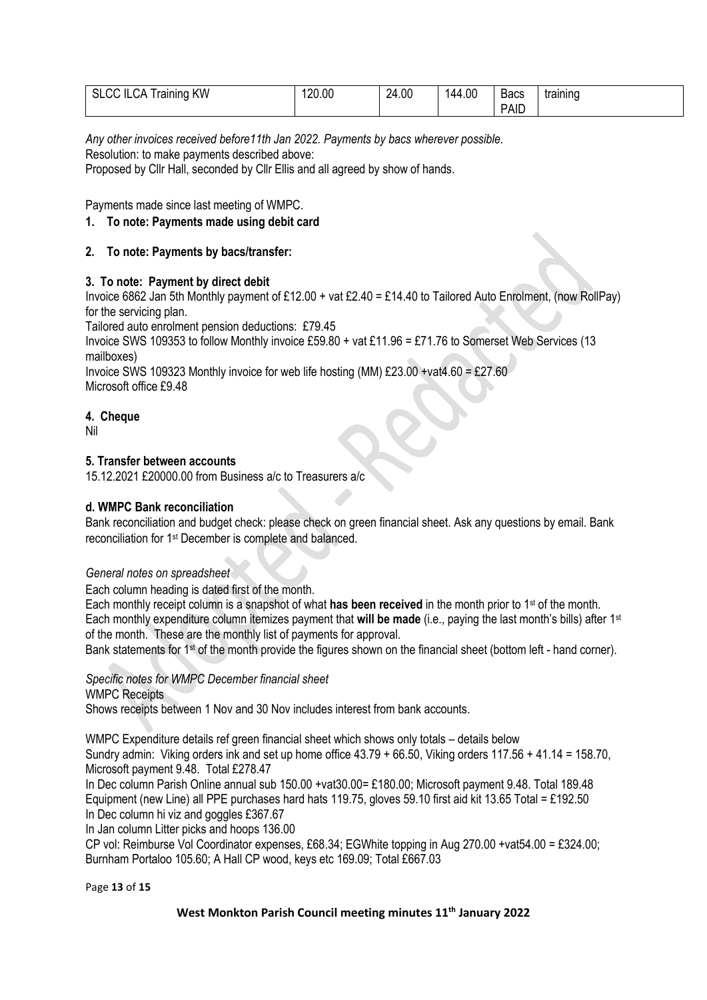| SLCC ILCA Training KW | 120.00 | 24.00 | 144.00 | <b>Bacs</b> | training |
|-----------------------|--------|-------|--------|-------------|----------|
|                       |        |       |        | <b>PAID</b> |          |

*Any other invoices received before11th Jan 2022. Payments by bacs wherever possible.* Resolution: to make payments described above:

Proposed by Cllr Hall, seconded by Cllr Ellis and all agreed by show of hands.

Payments made since last meeting of WMPC.

## **1. To note: Payments made using debit card**

## **2. To note: Payments by bacs/transfer:**

## **3. To note: Payment by direct debit**

Invoice 6862 Jan 5th Monthly payment of £12.00 + vat £2.40 = £14.40 to Tailored Auto Enrolment, (now RollPay) for the servicing plan.

Tailored auto enrolment pension deductions: £79.45

Invoice SWS 109353 to follow Monthly invoice £59.80 + vat £11.96 = £71.76 to Somerset Web Services (13 mailboxes)

Invoice SWS 109323 Monthly invoice for web life hosting (MM) £23.00 +vat4.60 = £27.60 Microsoft office £9.48

## **4. Cheque**

Nil

## **5. Transfer between accounts**

15.12.2021 £20000.00 from Business a/c to Treasurers a/c

## **d. WMPC Bank reconciliation**

Bank reconciliation and budget check: please check on green financial sheet. Ask any questions by email. Bank reconciliation for 1st December is complete and balanced.

### *General notes on spreadsheet*

Each column heading is dated first of the month.

Each monthly receipt column is a snapshot of what **has been received** in the month prior to 1st of the month. Each monthly expenditure column itemizes payment that **will be made** (i.e., paying the last month's bills) after 1st of the month. These are the monthly list of payments for approval.

Bank statements for 1<sup>st</sup> of the month provide the figures shown on the financial sheet (bottom left - hand corner).

*Specific notes for WMPC December financial sheet* 

WMPC Receipts

Shows receipts between 1 Nov and 30 Nov includes interest from bank accounts.

WMPC Expenditure details ref green financial sheet which shows only totals – details below Sundry admin: Viking orders ink and set up home office 43.79 + 66.50, Viking orders 117.56 + 41.14 = 158.70, Microsoft payment 9.48. Total £278.47

In Dec column Parish Online annual sub 150.00 +vat30.00= £180.00; Microsoft payment 9.48. Total 189.48 Equipment (new Line) all PPE purchases hard hats 119.75, gloves 59.10 first aid kit 13.65 Total = £192.50 In Dec column hi viz and goggles £367.67

In Jan column Litter picks and hoops 136.00

CP vol: Reimburse Vol Coordinator expenses, £68.34; EGWhite topping in Aug 270.00 +vat54.00 = £324.00; Burnham Portaloo 105.60; A Hall CP wood, keys etc 169.09; Total £667.03

Page **13** of **15**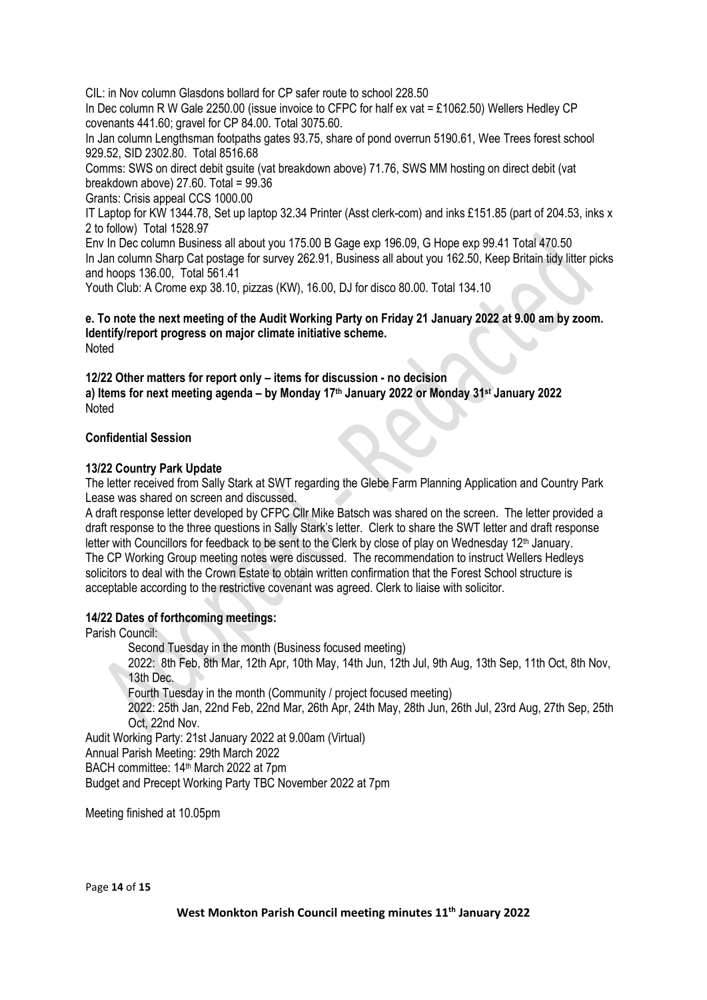CIL: in Nov column Glasdons bollard for CP safer route to school 228.50 In Dec column R W Gale 2250.00 (issue invoice to CFPC for half ex vat = £1062.50) Wellers Hedley CP covenants 441.60; gravel for CP 84.00. Total 3075.60.

In Jan column Lengthsman footpaths gates 93.75, share of pond overrun 5190.61, Wee Trees forest school 929.52, SID 2302.80. Total 8516.68

Comms: SWS on direct debit gsuite (vat breakdown above) 71.76, SWS MM hosting on direct debit (vat breakdown above) 27.60. Total = 99.36

Grants: Crisis appeal CCS 1000.00

IT Laptop for KW 1344.78, Set up laptop 32.34 Printer (Asst clerk-com) and inks £151.85 (part of 204.53, inks x 2 to follow) Total 1528.97

Env In Dec column Business all about you 175.00 B Gage exp 196.09, G Hope exp 99.41 Total 470.50 In Jan column Sharp Cat postage for survey 262.91, Business all about you 162.50, Keep Britain tidy litter picks and hoops 136.00, Total 561.41

Youth Club: A Crome exp 38.10, pizzas (KW), 16.00, DJ for disco 80.00. Total 134.10

**e. To note the next meeting of the Audit Working Party on Friday 21 January 2022 at 9.00 am by zoom. Identify/report progress on major climate initiative scheme.** Noted

**12/22 Other matters for report only – items for discussion - no decision a) Items for next meeting agenda – by Monday 17th January 2022 or Monday 31st January 2022** Noted

## **Confidential Session**

## **13/22 Country Park Update**

The letter received from Sally Stark at SWT regarding the Glebe Farm Planning Application and Country Park Lease was shared on screen and discussed.

A draft response letter developed by CFPC Cllr Mike Batsch was shared on the screen. The letter provided a draft response to the three questions in Sally Stark's letter. Clerk to share the SWT letter and draft response letter with Councillors for feedback to be sent to the Clerk by close of play on Wednesday  $12<sup>th</sup>$  January. The CP Working Group meeting notes were discussed. The recommendation to instruct Wellers Hedleys solicitors to deal with the Crown Estate to obtain written confirmation that the Forest School structure is acceptable according to the restrictive covenant was agreed. Clerk to liaise with solicitor.

## **14/22 Dates of forthcoming meetings:**

Parish Council:

Second Tuesday in the month (Business focused meeting)

2022: 8th Feb, 8th Mar, 12th Apr, 10th May, 14th Jun, 12th Jul, 9th Aug, 13th Sep, 11th Oct, 8th Nov, 13th Dec.

Fourth Tuesday in the month (Community / project focused meeting)

2022: 25th Jan, 22nd Feb, 22nd Mar, 26th Apr, 24th May, 28th Jun, 26th Jul, 23rd Aug, 27th Sep, 25th Oct, 22nd Nov.

Audit Working Party: 21st January 2022 at 9.00am (Virtual) Annual Parish Meeting: 29th March 2022 BACH committee: 14<sup>th</sup> March 2022 at 7pm

Budget and Precept Working Party TBC November 2022 at 7pm

Meeting finished at 10.05pm